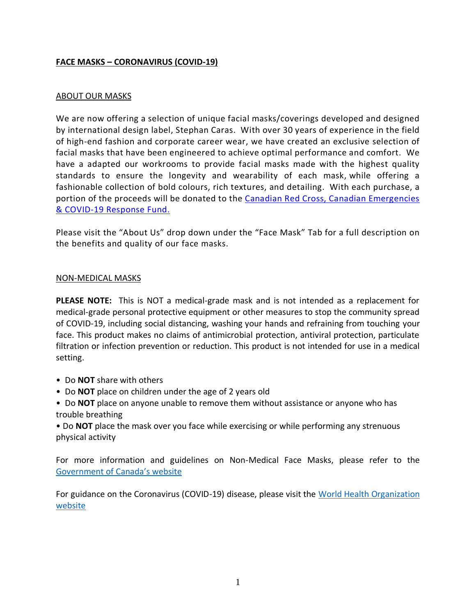# **FACE MASKS – CORONAVIRUS (COVID-19)**

## ABOUT OUR MASKS

We are now offering a selection of unique facial masks/coverings developed and designed by international design label, Stephan Caras. With over 30 years of experience in the field of high-end fashion and corporate career wear, we have created an exclusive selection of facial masks that have been engineered to achieve optimal performance and comfort. We have a adapted our workrooms to provide facial masks made with the highest quality standards to ensure the longevity and wearability of each mask, while offering a fashionable collection of bold colours, rich textures, and detailing. With each purchase, a portion of the proceeds will be donated to the Canadian Red Cross, Canadian [Emergencies](https://www.redcross.ca/) & [COVID-19](https://www.redcross.ca/) Response Fund.

Please visit the "About Us" drop down under the "Face Mask" Tab for a full description on the benefits and quality of our face masks.

#### NON-MEDICAL MASKS

**PLEASE NOTE:** This is NOT a medical-grade mask and is not intended as a replacement for medical-grade personal protective equipment or other measures to stop the community spread of COVID-19, including social distancing, washing your hands and refraining from touching your face. This product makes no claims of antimicrobial protection, antiviral protection, particulate filtration or infection prevention or reduction. This product is not intended for use in a medical setting.

- Do **NOT** share with others
- Do **NOT** place on children under the age of 2 years old
- Do **NOT** place on anyone unable to remove them without assistance or anyone who has trouble breathing
- Do **NOT** place the mask over you face while exercising or while performing any strenuous physical activity

For more information and guidelines on Non-Medical Face Masks, please refer to the Governmen[t of Canada's website](https://www.canada.ca/en/public-health/services/diseases/2019-novel-coronavirus-infection/prevention-risks/about-non-medical-masks-face-coverings.html)

For guidance on the Coronavirus (COVID-19) disease, please visit the [World Health Organization](https://www.who.int/emergencies/diseases/novel-coronavirus-2019)  [website](https://www.who.int/emergencies/diseases/novel-coronavirus-2019)